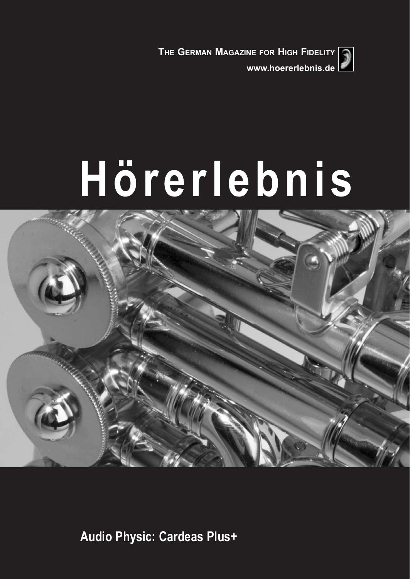**THE GERMAN MAGAZINE FOR HIGH FIDELITY www.hoererlebnis.de**

# **Hörerlebnis**



**Audio Physic: Cardeas Plus+**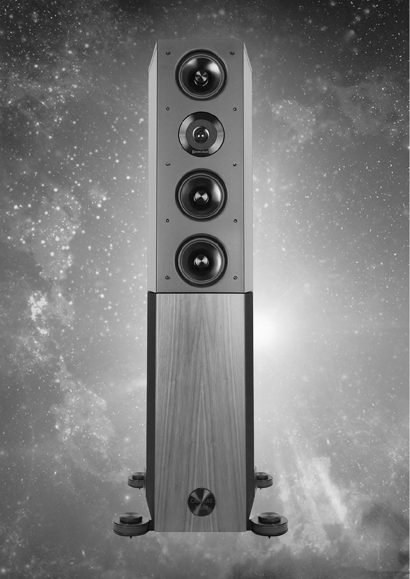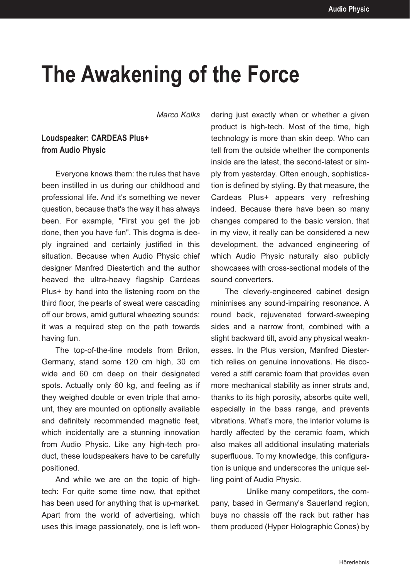# **The Awakening of the Force**

*Marco Kolks*

## **Loudspeaker: CARDEAS Plus+ from Audio Physic**

Everyone knows them: the rules that have been instilled in us during our childhood and professional life. And it's something we never question, because that's the way it has always been. For example, "First you get the job done, then you have fun". This dogma is deeply ingrained and certainly justified in this situation. Because when Audio Physic chief designer Manfred Diestertich and the author heaved the ultra-heavy flagship Cardeas Plus+ by hand into the listening room on the third floor, the pearls of sweat were cascading off our brows, amid guttural wheezing sounds: it was a required step on the path towards having fun.

The top-of-the-line models from Brilon, Germany, stand some 120 cm high, 30 cm wide and 60 cm deep on their designated spots. Actually only 60 kg, and feeling as if they weighed double or even triple that amount, they are mounted on optionally available and definitely recommended magnetic feet, which incidentally are a stunning innovation from Audio Physic. Like any high-tech product, these loudspeakers have to be carefully positioned.

And while we are on the topic of hightech: For quite some time now, that epithet has been used for anything that is up-market. Apart from the world of advertising, which uses this image passionately, one is left wondering just exactly when or whether a given product is high-tech. Most of the time, high technology is more than skin deep. Who can tell from the outside whether the components inside are the latest, the second-latest or simply from yesterday. Often enough, sophistication is defined by styling. By that measure, the Cardeas Plus+ appears very refreshing indeed. Because there have been so many changes compared to the basic version, that in my view, it really can be considered a new development, the advanced engineering of which Audio Physic naturally also publicly showcases with cross-sectional models of the sound converters.

The cleverly-engineered cabinet design minimises any sound-impairing resonance. A round back, rejuvenated forward-sweeping sides and a narrow front, combined with a slight backward tilt, avoid any physical weaknesses. In the Plus version, Manfred Diestertich relies on genuine innovations. He discovered a stiff ceramic foam that provides even more mechanical stability as inner struts and, thanks to its high porosity, absorbs quite well, especially in the bass range, and prevents vibrations. What's more, the interior volume is hardly affected by the ceramic foam, which also makes all additional insulating materials superfluous. To my knowledge, this configuration is unique and underscores the unique selling point of Audio Physic.

Unlike many competitors, the company, based in Germany's Sauerland region, buys no chassis off the rack but rather has them produced (Hyper Holographic Cones) by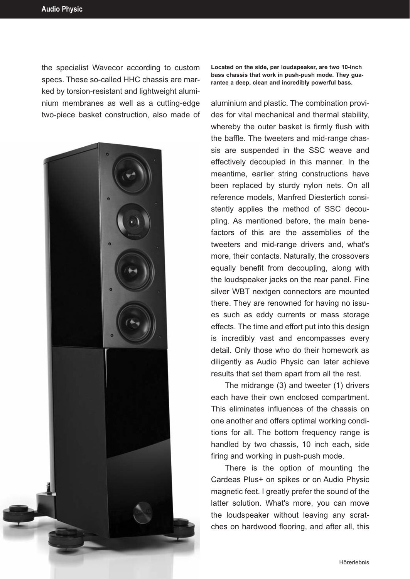the specialist Wavecor according to custom specs. These so-called HHC chassis are marked by torsion-resistant and lightweight aluminium membranes as well as a cutting-edge two-piece basket construction, also made of

**Located on the side, per loudspeaker, are two 10-inch bass chassis that work in push-push mode. They guarantee a deep, clean and incredibly powerful bass.**

aluminium and plastic. The combination provides for vital mechanical and thermal stability, whereby the outer basket is firmly flush with the baffle. The tweeters and mid-range chassis are suspended in the SSC weave and effectively decoupled in this manner. In the meantime, earlier string constructions have been replaced by sturdy nylon nets. On all reference models, Manfred Diestertich consistently applies the method of SSC decoupling. As mentioned before, the main benefactors of this are the assemblies of the tweeters and mid-range drivers and, what's more, their contacts. Naturally, the crossovers equally benefit from decoupling, along with the loudspeaker jacks on the rear panel. Fine silver WBT nextgen connectors are mounted there. They are renowned for having no issues such as eddy currents or mass storage effects. The time and effort put into this design is incredibly vast and encompasses every detail. Only those who do their homework as diligently as Audio Physic can later achieve results that set them apart from all the rest.

The midrange (3) and tweeter (1) drivers each have their own enclosed compartment. This eliminates influences of the chassis on one another and offers optimal working conditions for all. The bottom frequency range is handled by two chassis, 10 inch each, side firing and working in push-push mode.

There is the option of mounting the Cardeas Plus+ on spikes or on Audio Physic magnetic feet. I greatly prefer the sound of the latter solution. What's more, you can move the loudspeaker without leaving any scratches on hardwood flooring, and after all, this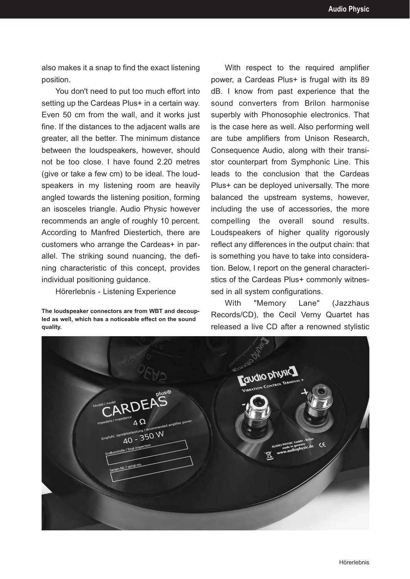also makes it a snap to find the exact listening position.

You don't need to put too much effort into setting up the Cardeas Plus+ in a certain way. Even 50 cm from the wall, and it works just fine. If the distances to the adjacent walls are greater, all the better. The minimum distance between the loudspeakers, however, should not be too close. I have found 2.20 metres (give or take a few cm) to be ideal. The loudspeakers in my listening room are heavily angled towards the listening position, forming an isosceles triangle. Audio Physic however recommends an angle of roughly 10 percent. According to Manfred Diestertich, there are customers who arrange the Cardeas+ in parallel. The striking sound nuancing, the defining characteristic of this concept, provides individual positioning guidance.

Hörerlebnis - Listening Experience

**The loudspeaker connectors are from WBT and decoupled as well, which has a noticeable effect on the sound quality.**

With respect to the required amplifier power, a Cardeas Plus+ is frugal with its 89 dB. I know from past experience that the sound converters from Brilon harmonise superbly with Phonosophie electronics. That is the case here as well. Also performing well are tube amplifiers from Unison Research, Consequence Audio, along with their transistor counterpart from Symphonic Line. This leads to the conclusion that the Cardeas Plus+ can be deployed universally. The more balanced the upstream systems, however, including the use of accessories, the more compelling the overall sound results. Loudspeakers of higher quality rigorously reflect any differences in the output chain: that is something you have to take into consideration. Below, I report on the general characteristics of the Cardeas Plus+ commonly witnessed in all system configurations.

With "Memory Lane" (Jazzhaus Records/CD), the Cecil Verny Quartet has released a live CD after a renowned stylistic

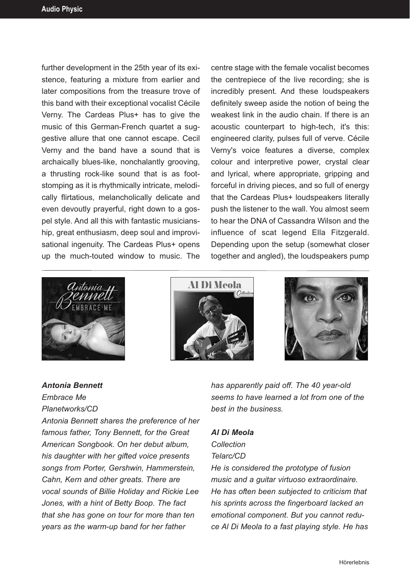further development in the 25th year of its existence, featuring a mixture from earlier and later compositions from the treasure trove of this band with their exceptional vocalist Cécile Verny. The Cardeas Plus+ has to give the music of this German-French quartet a suggestive allure that one cannot escape. Cecil Verny and the band have a sound that is archaically blues-like, nonchalantly grooving, a thrusting rock-like sound that is as footstomping as it is rhythmically intricate, melodically flirtatious, melancholically delicate and even devoutly prayerful, right down to a gospel style. And all this with fantastic musicianship, great enthusiasm, deep soul and improvisational ingenuity. The Cardeas Plus+ opens up the much-touted window to music. The centre stage with the female vocalist becomes the centrepiece of the live recording; she is incredibly present. And these loudspeakers definitely sweep aside the notion of being the weakest link in the audio chain. If there is an acoustic counterpart to high-tech, it's this: engineered clarity, pulses full of verve. Cécile Verny's voice features a diverse, complex colour and interpretive power, crystal clear and lyrical, where appropriate, gripping and forceful in driving pieces, and so full of energy that the Cardeas Plus+ loudspeakers literally push the listener to the wall. You almost seem to hear the DNA of Cassandra Wilson and the influence of scat legend Ella Fitzgerald. Depending upon the setup (somewhat closer together and angled), the loudspeakers pump







#### *Antonia Bennett*

#### *Embrace Me Planetworks/CD*

*Antonia Bennett shares the preference of her famous father, Tony Bennett, for the Great American Songbook. On her debut album, his daughter with her gifted voice presents songs from Porter, Gershwin, Hammerstein, Cahn, Kern and other greats. There are vocal sounds of Billie Holiday and Rickie Lee Jones, with a hint of Betty Boop. The fact that she has gone on tour for more than ten years as the warm-up band for her father*

*has apparently paid off. The 40 year-old seems to have learned a lot from one of the best in the business.* 

#### *Al Di Meola*

*Collection* 

### *Telarc/CD*

*He is considered the prototype of fusion music and a guitar virtuoso extraordinaire. He has often been subjected to criticism that his sprints across the fingerboard lacked an emotional component. But you cannot reduce Al Di Meola to a fast playing style. He has*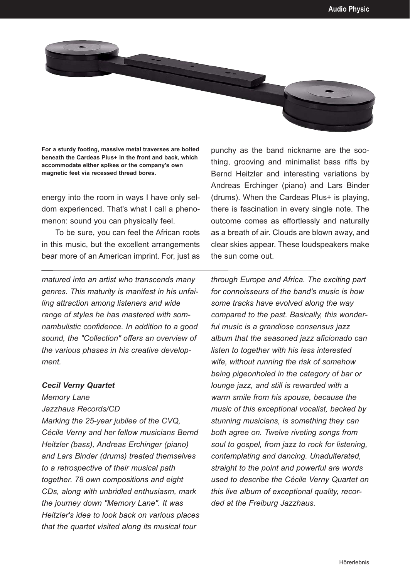

**For a sturdy footing, massive metal traverses are bolted beneath the Cardeas Plus+ in the front and back, which accommodate either spikes or the company's own magnetic feet via recessed thread bores.**

energy into the room in ways I have only seldom experienced. That's what I call a phenomenon: sound you can physically feel.

To be sure, you can feel the African roots in this music, but the excellent arrangements bear more of an American imprint. For, just as

*matured into an artist who transcends many genres. This maturity is manifest in his unfailing attraction among listeners and wide range of styles he has mastered with somnambulistic confidence. In addition to a good sound, the "Collection" offers an overview of the various phases in his creative development.*

#### *Cecil Verny Quartet*

*Memory Lane* 

*Jazzhaus Records/CD* 

*Marking the 25-year jubilee of the CVQ, Cécile Verny and her fellow musicians Bernd Heitzler (bass), Andreas Erchinger (piano) and Lars Binder (drums) treated themselves to a retrospective of their musical path together. 78 own compositions and eight CDs, along with unbridled enthusiasm, mark the journey down "Memory Lane". It was Heitzler's idea to look back on various places that the quartet visited along its musical tour*

punchy as the band nickname are the soothing, grooving and minimalist bass riffs by Bernd Heitzler and interesting variations by Andreas Erchinger (piano) and Lars Binder (drums). When the Cardeas Plus+ is playing, there is fascination in every single note. The outcome comes as effortlessly and naturally as a breath of air. Clouds are blown away, and clear skies appear. These loudspeakers make the sun come out.

*through Europe and Africa. The exciting part for connoisseurs of the band's music is how some tracks have evolved along the way compared to the past. Basically, this wonderful music is a grandiose consensus jazz album that the seasoned jazz aficionado can listen to together with his less interested wife, without running the risk of somehow being pigeonholed in the category of bar or lounge jazz, and still is rewarded with a warm smile from his spouse, because the music of this exceptional vocalist, backed by stunning musicians, is something they can both agree on. Twelve riveting songs from soul to gospel, from jazz to rock for listening, contemplating and dancing. Unadulterated, straight to the point and powerful are words used to describe the Cécile Verny Quartet on this live album of exceptional quality, recorded at the Freiburg Jazzhaus.*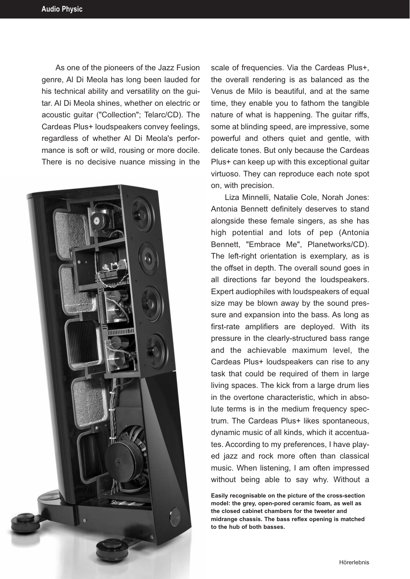As one of the pioneers of the Jazz Fusion genre, Al Di Meola has long been lauded for his technical ability and versatility on the guitar. Al Di Meola shines, whether on electric or acoustic guitar ("Collection"; Telarc/CD). The Cardeas Plus+ loudspeakers convey feelings, regardless of whether Al Di Meola's performance is soft or wild, rousing or more docile. There is no decisive nuance missing in the



scale of frequencies. Via the Cardeas Plus+, the overall rendering is as balanced as the Venus de Milo is beautiful, and at the same time, they enable you to fathom the tangible nature of what is happening. The guitar riffs, some at blinding speed, are impressive, some powerful and others quiet and gentle, with delicate tones. But only because the Cardeas Plus+ can keep up with this exceptional guitar virtuoso. They can reproduce each note spot on, with precision.

Liza Minnelli, Natalie Cole, Norah Jones: Antonia Bennett definitely deserves to stand alongside these female singers, as she has high potential and lots of pep (Antonia Bennett, "Embrace Me", Planetworks/CD). The left-right orientation is exemplary, as is the offset in depth. The overall sound goes in all directions far beyond the loudspeakers. Expert audiophiles with loudspeakers of equal size may be blown away by the sound pressure and expansion into the bass. As long as first-rate amplifiers are deployed. With its pressure in the clearly-structured bass range and the achievable maximum level, the Cardeas Plus+ loudspeakers can rise to any task that could be required of them in large living spaces. The kick from a large drum lies in the overtone characteristic, which in absolute terms is in the medium frequency spectrum. The Cardeas Plus+ likes spontaneous, dynamic music of all kinds, which it accentuates. According to my preferences, I have played jazz and rock more often than classical music. When listening, I am often impressed without being able to say why. Without a

**Easily recognisable on the picture of the cross-section model: the grey, open-pored ceramic foam, as well as the closed cabinet chambers for the tweeter and midrange chassis. The bass reflex opening is matched to the hub of both basses.**